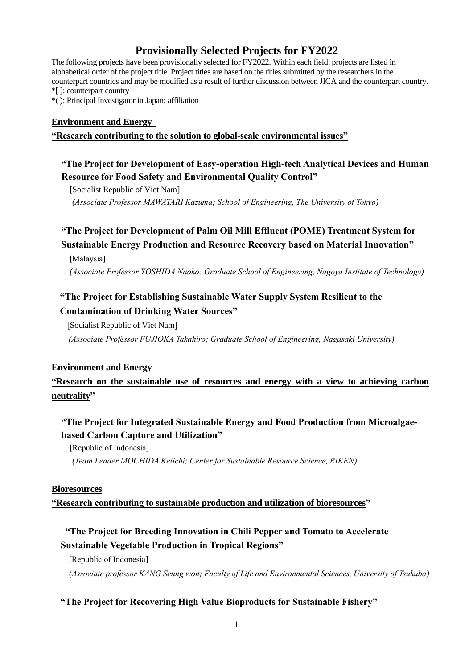# **Provisionally Selected Projects for FY2022**

The following projects have been provisionally selected for FY2022. Within each field, projects are listed in alphabetical order of the project title. Project titles are based on the titles submitted by the researchers in the counterpart countries and may be modified as a result of further discussion between JICA and the counterpart country. \*[ ]: counterpart country

\*( ): Principal Investigator in Japan; affiliation

### **Environment and Energy**

#### **"Research contributing to the solution to global-scale environmental issues"**

### **"The Project for Development of Easy-operation High-tech Analytical Devices and Human Resource for Food Safety and Environmental Quality Control"**

[Socialist Republic of Viet Nam]

*(Associate Professor MAWATARI Kazuma; School of Engineering, The University of Tokyo)*

# **"The Project for Development of Palm Oil Mill Effluent (POME) Treatment System for Sustainable Energy Production and Resource Recovery based on Material Innovation"**

[Malaysia]

*(Associate Professor YOSHIDA Naoko; Graduate School of Engineering, Nagoya Institute of Technology)*

### **"The Project for Establishing Sustainable Water Supply System Resilient to the Contamination of Drinking Water Sources"**

[Socialist Republic of Viet Nam]

*(Associate Professor FUJIOKA Takahiro; Graduate School of Engineering, Nagasaki University)*

### **Environment and Energy**

## **"Research on the sustainable use of resources and energy with a view to achieving carbon neutrality"**

### **"The Project for Integrated Sustainable Energy and Food Production from Microalgaebased Carbon Capture and Utilization"**

[Republic of Indonesia] *(Team Leader MOCHIDA Keiichi; Center for Sustainable Resource Science, RIKEN)*

#### **Bioresources**

**"Research contributing to sustainable production and utilization of bioresources"**

## **"The Project for Breeding Innovation in Chili Pepper and Tomato to Accelerate Sustainable Vegetable Production in Tropical Regions"**

[Republic of Indonesia]

*(Associate professor KANG Seung won; Faculty of Life and Environmental Sciences, University of Tsukuba)*

### **"The Project for Recovering High Value Bioproducts for Sustainable Fishery"**